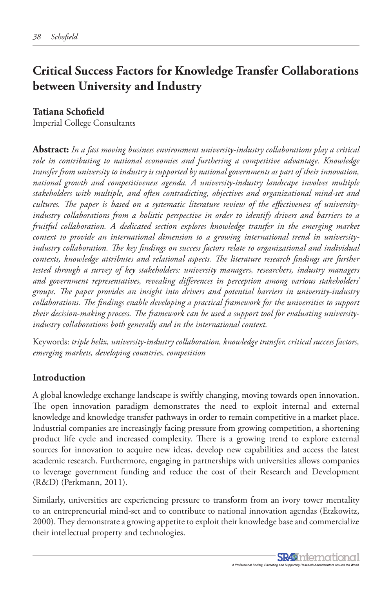# **Critical Success Factors for Knowledge Transfer Collaborations between University and Industry**

#### **Tatiana Schofield**

Imperial College Consultants

**Abstract:** *In a fast moving business environment university-industry collaborations play a critical role in contributing to national economies and furthering a competitive advantage. Knowledge transfer from university to industry is supported by national governments as part of their innovation, national growth and competitiveness agenda. A university-industry landscape involves multiple stakeholders with multiple, and often contradicting, objectives and organizational mind-set and cultures. The paper is based on a systematic literature review of the effectiveness of universityindustry collaborations from a holistic perspective in order to identify drivers and barriers to a fruitful collaboration. A dedicated section explores knowledge transfer in the emerging market context to provide an international dimension to a growing international trend in universityindustry collaboration. The key findings on success factors relate to organizational and individual contexts, knowledge attributes and relational aspects. The literature research findings are further tested through a survey of key stakeholders: university managers, researchers, industry managers and government representatives, revealing differences in perception among various stakeholders' groups. The paper provides an insight into drivers and potential barriers in university-industry collaborations. The findings enable developing a practical framework for the universities to support their decision-making process. The framework can be used a support tool for evaluating universityindustry collaborations both generally and in the international context.*

Keywords: *triple helix, university-industry collaboration, knowledge transfer, critical success factors, emerging markets, developing countries, competition*

### **Introduction**

A global knowledge exchange landscape is swiftly changing, moving towards open innovation. The open innovation paradigm demonstrates the need to exploit internal and external knowledge and knowledge transfer pathways in order to remain competitive in a market place. Industrial companies are increasingly facing pressure from growing competition, a shortening product life cycle and increased complexity. There is a growing trend to explore external sources for innovation to acquire new ideas, develop new capabilities and access the latest academic research. Furthermore, engaging in partnerships with universities allows companies to leverage government funding and reduce the cost of their Research and Development (R&D) (Perkmann, 2011).

Similarly, universities are experiencing pressure to transform from an ivory tower mentality to an entrepreneurial mind-set and to contribute to national innovation agendas (Etzkowitz, 2000). They demonstrate a growing appetite to exploit their knowledge base and commercialize their intellectual property and technologies.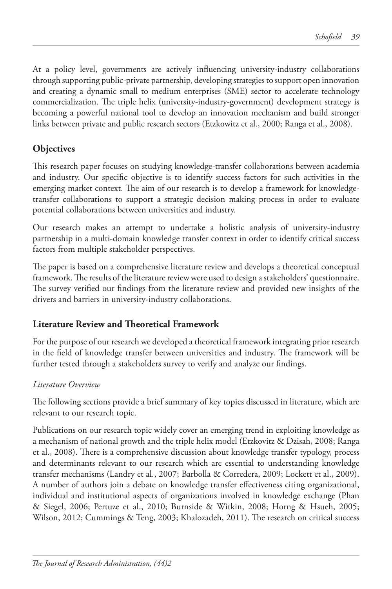At a policy level, governments are actively influencing university-industry collaborations through supporting public-private partnership, developing strategies to support open innovation and creating a dynamic small to medium enterprises (SME) sector to accelerate technology commercialization. The triple helix (university-industry-government) development strategy is becoming a powerful national tool to develop an innovation mechanism and build stronger links between private and public research sectors (Etzkowitz et al., 2000; Ranga et al., 2008).

# **Objectives**

This research paper focuses on studying knowledge-transfer collaborations between academia and industry. Our specific objective is to identify success factors for such activities in the emerging market context. The aim of our research is to develop a framework for knowledgetransfer collaborations to support a strategic decision making process in order to evaluate potential collaborations between universities and industry.

Our research makes an attempt to undertake a holistic analysis of university-industry partnership in a multi-domain knowledge transfer context in order to identify critical success factors from multiple stakeholder perspectives.

The paper is based on a comprehensive literature review and develops a theoretical conceptual framework. The results of the literature review were used to design a stakeholders' questionnaire. The survey verified our findings from the literature review and provided new insights of the drivers and barriers in university-industry collaborations.

# **Literature Review and Theoretical Framework**

For the purpose of our research we developed a theoretical framework integrating prior research in the field of knowledge transfer between universities and industry. The framework will be further tested through a stakeholders survey to verify and analyze our findings.

# *Literature Overview*

The following sections provide a brief summary of key topics discussed in literature, which are relevant to our research topic.

Publications on our research topic widely cover an emerging trend in exploiting knowledge as a mechanism of national growth and the triple helix model (Etzkovitz & Dzisah, 2008; Ranga et al., 2008). There is a comprehensive discussion about knowledge transfer typology, process and determinants relevant to our research which are essential to understanding knowledge transfer mechanisms (Landry et al., 2007; Barbolla & Corredera, 2009; Lockett et al., 2009). A number of authors join a debate on knowledge transfer effectiveness citing organizational, individual and institutional aspects of organizations involved in knowledge exchange (Phan & Siegel, 2006; Pertuze et al., 2010; Burnside & Witkin, 2008; Horng & Hsueh, 2005; Wilson, 2012; Cummings & Teng, 2003; Khalozadeh, 2011). The research on critical success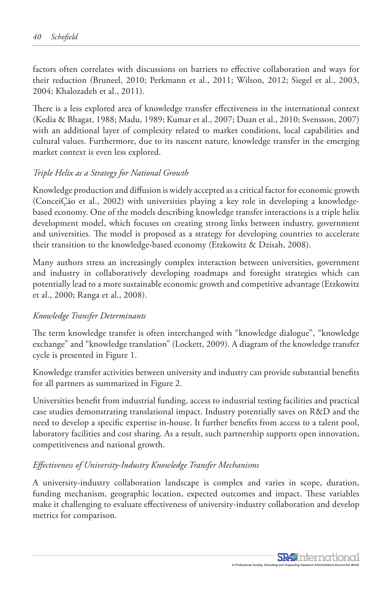factors often correlates with discussions on barriers to effective collaboration and ways for their reduction (Bruneel, 2010; Perkmann et al., 2011; Wilson, 2012; Siegel et al., 2003, 2004; Khalozadeh et al., 2011).

There is a less explored area of knowledge transfer effectiveness in the international context (Kedia & Bhagat, 1988; Madu, 1989; Kumar et al., 2007; Duan et al., 2010; Svensson, 2007) with an additional layer of complexity related to market conditions, local capabilities and cultural values. Furthermore, due to its nascent nature, knowledge transfer in the emerging market context is even less explored.

#### *Triple Helix as a Strategy for National Growth*

Knowledge production and diffusion is widely accepted as a critical factor for economic growth (ConceiÇão et al., 2002) with universities playing a key role in developing a knowledgebased economy. One of the models describing knowledge transfer interactions is a triple helix development model, which focuses on creating strong links between industry, government and universities. The model is proposed as a strategy for developing countries to accelerate their transition to the knowledge-based economy (Etzkowitz & Dzisah, 2008).

Many authors stress an increasingly complex interaction between universities, government and industry in collaboratively developing roadmaps and foresight strategies which can potentially lead to a more sustainable economic growth and competitive advantage (Etzkowitz et al., 2000; Ranga et al., 2008).

#### *Knowledge Transfer Determinants*

The term knowledge transfer is often interchanged with "knowledge dialogue", "knowledge exchange" and "knowledge translation" (Lockett, 2009). A diagram of the knowledge transfer cycle is presented in Figure 1.

Knowledge transfer activities between university and industry can provide substantial benefits for all partners as summarized in Figure 2.

Universities benefit from industrial funding, access to industrial testing facilities and practical case studies demonstrating translational impact. Industry potentially saves on R&D and the need to develop a specific expertise in-house. It further benefits from access to a talent pool, laboratory facilities and cost sharing. As a result, such partnership supports open innovation, competitiveness and national growth.

#### *Effectiveness of University-Industry Knowledge Transfer Mechanisms*

A university-industry collaboration landscape is complex and varies in scope, duration, funding mechanism, geographic location, expected outcomes and impact. These variables make it challenging to evaluate effectiveness of university-industry collaboration and develop metrics for comparison.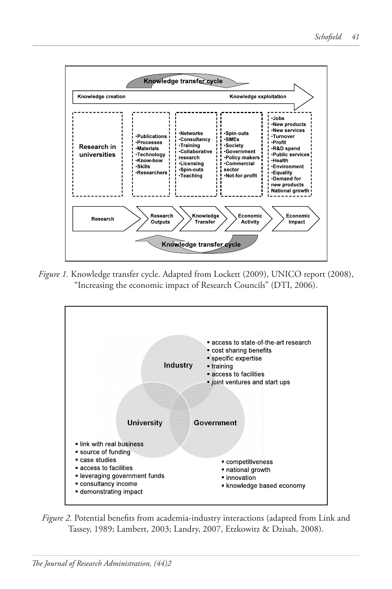

*Figure 1.* Knowledge transfer cycle. Adapted from Lockett (2009), UNICO report (2008), *Figure 1* Consequently the economic impact of Research Councils" (DTI, 2006). '. Knowledge transfer cycle. Adapted from Lockett (2009), UNICO 1



*Figure 2***.** Potential benefits from academia-industry interactions (adapted from *Figure 2.* Potential benefits from academia-industry interactions (adapted from Link and Tassey, 1989; Lambert, 2003; Landry, 2007, Etzkowitz & Dzisah, 2008).

level of general know-how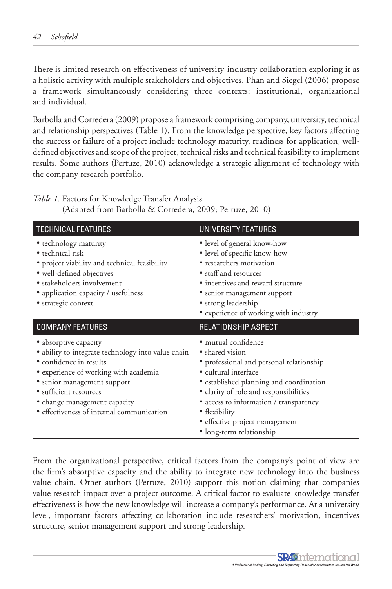There is limited research on effectiveness of university-industry collaboration exploring it as a holistic activity with multiple stakeholders and objectives. Phan and Siegel (2006) propose a framework simultaneously considering three contexts: institutional, organizational and individual.

Barbolla and Corredera (2009) propose a framework comprising company, university, technical and relationship perspectives (Table 1). From the knowledge perspective, key factors affecting the success or failure of a project include technology maturity, readiness for application, welldefined objectives and scope of the project, technical risks and technical feasibility to implement results. Some authors (Pertuze, 2010) acknowledge a strategic alignment of technology with the company research portfolio.

*Table 1.* Factors for Knowledge Transfer Analysis (Adapted from Barbolla & Corredera, 2009; Pertuze, 2010)

| <b>TECHNICAL FEATURES</b>                                                                                                                                                                                                                                                             | UNIVERSITY FEATURES                                                                                                                                                                                                                                                                                                      |
|---------------------------------------------------------------------------------------------------------------------------------------------------------------------------------------------------------------------------------------------------------------------------------------|--------------------------------------------------------------------------------------------------------------------------------------------------------------------------------------------------------------------------------------------------------------------------------------------------------------------------|
| • technology maturity<br>• technical risk<br>• project viability and technical feasibility<br>• well-defined objectives<br>• stakeholders involvement<br>• application capacity / usefulness<br>• strategic context                                                                   | • level of general know-how<br>· level of specific know-how<br>• researchers motivation<br>• staff and resources<br>• incentives and reward structure<br>• senior management support<br>· strong leadership<br>• experience of working with industry                                                                     |
| <b>COMPANY FEATURES</b>                                                                                                                                                                                                                                                               | RELATIONSHIP ASPECT                                                                                                                                                                                                                                                                                                      |
| • absorptive capacity<br>• ability to integrate technology into value chain<br>• confidence in results<br>• experience of working with academia<br>· senior management support<br>• sufficient resources<br>• change management capacity<br>• effectiveness of internal communication | · mutual confidence<br>• shared vision<br>• professional and personal relationship<br>· cultural interface<br>• established planning and coordination<br>• clarity of role and responsibilities<br>· access to information / transparency<br>• flexibility<br>· effective project management<br>· long-term relationship |

From the organizational perspective, critical factors from the company's point of view are the firm's absorptive capacity and the ability to integrate new technology into the business value chain. Other authors (Pertuze, 2010) support this notion claiming that companies value research impact over a project outcome. A critical factor to evaluate knowledge transfer effectiveness is how the new knowledge will increase a company's performance. At a university level, important factors affecting collaboration include researchers' motivation, incentives structure, senior management support and strong leadership.

> **SR49** nternational A Professional Society, Educating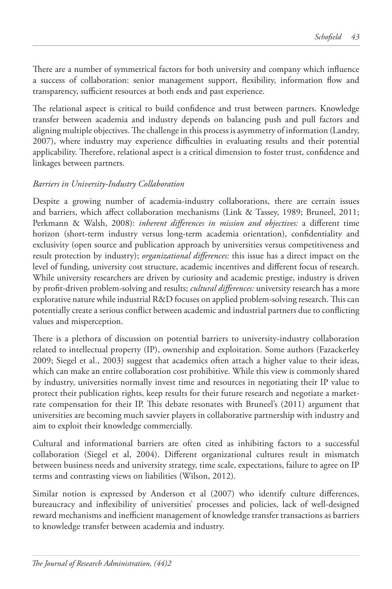There are a number of symmetrical factors for both university and company which influence a success of collaboration: senior management support, flexibility, information flow and transparency, sufficient resources at both ends and past experience.

The relational aspect is critical to build confidence and trust between partners. Knowledge transfer between academia and industry depends on balancing push and pull factors and aligning multiple objectives. The challenge in this process is asymmetry of information (Landry, 2007), where industry may experience difficulties in evaluating results and their potential applicability. Therefore, relational aspect is a critical dimension to foster trust, confidence and linkages between partners.

### *Barriers in University-Industry Collaboration*

Despite a growing number of academia-industry collaborations, there are certain issues and barriers, which affect collaboration mechanisms (Link & Tassey, 1989; Bruneel, 2011; Perkmann & Walsh, 2008): *inherent differences in mission and objectives:* a different time horizon (short-term industry versus long-term academia orientation), confidentiality and exclusivity (open source and publication approach by universities versus competitiveness and result protection by industry); *organizational differences:* this issue has a direct impact on the level of funding, university cost structure, academic incentives and different focus of research. While university researchers are driven by curiosity and academic prestige, industry is driven by profit-driven problem-solving and results; *cultural differences:* university research has a more explorative nature while industrial R&D focuses on applied problem-solving research. This can potentially create a serious conflict between academic and industrial partners due to conflicting values and misperception.

There is a plethora of discussion on potential barriers to university-industry collaboration related to intellectual property (IP), ownership and exploitation. Some authors (Fazackerley 2009; Siegel et al., 2003) suggest that academics often attach a higher value to their ideas, which can make an entire collaboration cost prohibitive. While this view is commonly shared by industry, universities normally invest time and resources in negotiating their IP value to protect their publication rights, keep results for their future research and negotiate a marketrate compensation for their IP. This debate resonates with Bruneel's (2011) argument that universities are becoming much savvier players in collaborative partnership with industry and aim to exploit their knowledge commercially.

Cultural and informational barriers are often cited as inhibiting factors to a successful collaboration (Siegel et al, 2004). Different organizational cultures result in mismatch between business needs and university strategy, time scale, expectations, failure to agree on IP terms and contrasting views on liabilities (Wilson, 2012).

Similar notion is expressed by Anderson et al (2007) who identify culture differences, bureaucracy and inflexibility of universities' processes and policies, lack of well-designed reward mechanisms and inefficient management of knowledge transfer transactions as barriers to knowledge transfer between academia and industry.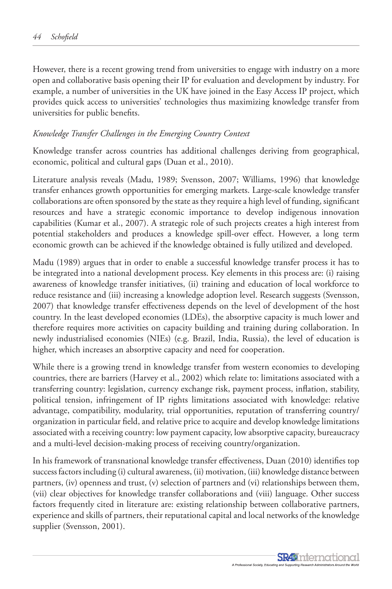However, there is a recent growing trend from universities to engage with industry on a more open and collaborative basis opening their IP for evaluation and development by industry. For example, a number of universities in the UK have joined in the Easy Access IP project, which provides quick access to universities' technologies thus maximizing knowledge transfer from universities for public benefits.

#### *Knowledge Transfer Challenges in the Emerging Country Context*

Knowledge transfer across countries has additional challenges deriving from geographical, economic, political and cultural gaps (Duan et al., 2010).

Literature analysis reveals (Madu, 1989; Svensson, 2007; Williams, 1996) that knowledge transfer enhances growth opportunities for emerging markets. Large-scale knowledge transfer collaborations are often sponsored by the state as they require a high level of funding, significant resources and have a strategic economic importance to develop indigenous innovation capabilities (Kumar et al., 2007). A strategic role of such projects creates a high interest from potential stakeholders and produces a knowledge spill-over effect. However, a long term economic growth can be achieved if the knowledge obtained is fully utilized and developed.

Madu (1989) argues that in order to enable a successful knowledge transfer process it has to be integrated into a national development process. Key elements in this process are: (i) raising awareness of knowledge transfer initiatives, (ii) training and education of local workforce to reduce resistance and (iii) increasing a knowledge adoption level. Research suggests (Svensson, 2007) that knowledge transfer effectiveness depends on the level of development of the host country. In the least developed economies (LDEs), the absorptive capacity is much lower and therefore requires more activities on capacity building and training during collaboration. In newly industrialised economies (NIEs) (e.g. Brazil, India, Russia), the level of education is higher, which increases an absorptive capacity and need for cooperation.

While there is a growing trend in knowledge transfer from western economies to developing countries, there are barriers (Harvey et al., 2002) which relate to: limitations associated with a transferring country: legislation, currency exchange risk, payment process, inflation, stability, political tension, infringement of IP rights limitations associated with knowledge: relative advantage, compatibility, modularity, trial opportunities, reputation of transferring country/ organization in particular field, and relative price to acquire and develop knowledge limitations associated with a receiving country: low payment capacity, low absorptive capacity, bureaucracy and a multi-level decision-making process of receiving country/organization.

In his framework of transnational knowledge transfer effectiveness, Duan (2010) identifies top success factors including (i) cultural awareness, (ii) motivation, (iii) knowledge distance between partners, (iv) openness and trust, (v) selection of partners and (vi) relationships between them, (vii) clear objectives for knowledge transfer collaborations and (viii) language. Other success factors frequently cited in literature are: existing relationship between collaborative partners, experience and skills of partners, their reputational capital and local networks of the knowledge supplier (Svensson, 2001).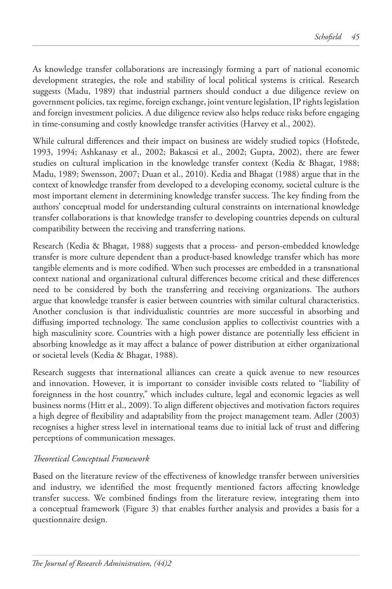As knowledge transfer collaborations are increasingly forming a part of national economic development strategies, the role and stability of local political systems is critical. Research suggests (Madu, 1989) that industrial partners should conduct a due diligence review on government policies, tax regime, foreign exchange, joint venture legislation, IP rights legislation and foreign investment policies. A due diligence review also helps reduce risks before engaging in time-consuming and costly knowledge transfer activities (Harvey et al., 2002).

While cultural differences and their impact on business are widely studied topics (Hofstede, 1993, 1994; Ashkanasy et al., 2002; Bakascsi et al., 2002; Gupta, 2002), there are fewer studies on cultural implication in the knowledge transfer context (Kedia & Bhagat, 1988; Madu, 1989; Swensson, 2007; Duan et al., 2010). Kedia and Bhagat (1988) argue that in the context of knowledge transfer from developed to a developing economy, societal culture is the most important element in determining knowledge transfer success. The key finding from the authors' conceptual model for understanding cultural constraints on international knowledge transfer collaborations is that knowledge transfer to developing countries depends on cultural compatibility between the receiving and transferring nations.

Research (Kedia & Bhagat, 1988) suggests that a process- and person-embedded knowledge transfer is more culture dependent than a product-based knowledge transfer which has more tangible elements and is more codified. When such processes are embedded in a transnational context national and organizational cultural differences become critical and these differences need to be considered by both the transferring and receiving organizations. The authors argue that knowledge transfer is easier between countries with similar cultural characteristics. Another conclusion is that individualistic countries are more successful in absorbing and diffusing imported technology. The same conclusion applies to collectivist countries with a high masculinity score. Countries with a high power distance are potentially less efficient in absorbing knowledge as it may affect a balance of power distribution at either organizational or societal levels (Kedia & Bhagat, 1988).

Research suggests that international alliances can create a quick avenue to new resources and innovation. However, it is important to consider invisible costs related to "liability of foreignness in the host country," which includes culture, legal and economic legacies as well business norms (Hitt et al., 2009). To align different objectives and motivation factors requires a high degree of flexibility and adaptability from the project management team. Adler (2003) recognises a higher stress level in international teams due to initial lack of trust and differing perceptions of communication messages.

### *Theoretical Conceptual Framework*

Based on the literature review of the effectiveness of knowledge transfer between universities and industry, we identified the most frequently mentioned factors affecting knowledge transfer success. We combined findings from the literature review, integrating them into a conceptual framework (Figure 3) that enables further analysis and provides a basis for a questionnaire design.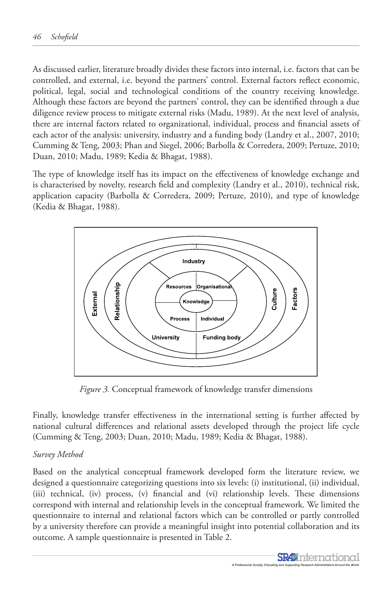As discussed earlier, literature broadly divides these factors into internal, i.e. factors that can be controlled, and external, i.e. beyond the partners' control. External factors reflect economic, political, legal, social and technological conditions of the country receiving knowledge. Although these factors are beyond the partners' control, they can be identified through a due Although these factors are beyond the partners' control, they can be identified through a due diligence review process to mitigate external risks (Madu, 1989). At the next level of analysis, there are internal factors related to organizational, individual, process and financial assets of each actor of the analysis: university, industry and a funding body (Landry et al., 2007, 2010; Cumming & Teng, 2003; Phan and Siegel, 2006; Barbolla & Corredera, 2009; Pertuze, 2010; Duan, 2010; Madu, 1989; Kedia & Bhagat, 1988). <sub>t</sub> thes change management capacity  $\frac{1}{1}$   $\frac{1}{1}$ professional and personal relationships the personal relationships  $p$ arbelle  $\frac{a}{2}$ Cerredore, 2000, Derty  $\alpha$ idiona $\alpha$ 

The type of knowledge itself has its impact on the effectiveness of knowledge exchange and is characterised by novelty, research field and complexity (Landry et al., 2010), technical risk, application capacity (Barbolla & Corredera, 2009; Pertuze, 2010), and type of knowledge (Kedia & Bhagat, 1988). *T* of Knowledge Trach has its impact on the enectiveness of Knowledge exchange



*Figure 3.* Conceptual framework of knowledge transfer dimensions *Figure 3***.** Conceptual framework of knowledge transfer dimensions

Finally, knowledge transfer effectiveness in the international setting is further affected by national cultural differences and relational assets developed through the project life cycle (Cumming & Teng, 2003; Duan, 2010; Madu, 1989; Kedia & Bhagat, 1988).

#### selection process  $\it{ethod}$ *Survey Method*

Based on the analytical conceptual framework developed form the literature review, we designed a questionnaire categorizing questions into six levels: (i) institutional, (ii) individual, (iii) technical, (iv) process, (v) financial and (vi) relationship levels. These dimensions correspond with internal and relationship levels in the conceptual framework. We limited the questionnaire to internal and relational factors which can be controlled or partly controlled by a university therefore can provide a meaningful insight into potential collaboration and its outcome. A sample questionnaire is presented in Table 2.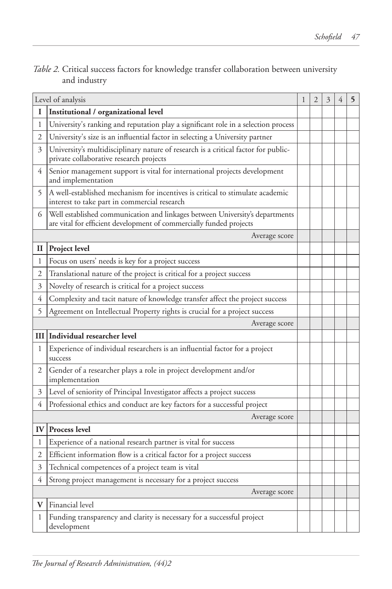| Table 2. Critical success factors for knowledge transfer collaboration between university |  |  |  |
|-------------------------------------------------------------------------------------------|--|--|--|
| and industry                                                                              |  |  |  |

| Level of analysis |                                                                                                                                                     |  | 2 | 3 | 4 | 5 |
|-------------------|-----------------------------------------------------------------------------------------------------------------------------------------------------|--|---|---|---|---|
| 1                 | Institutional / organizational level                                                                                                                |  |   |   |   |   |
| 1                 | University's ranking and reputation play a significant role in a selection process                                                                  |  |   |   |   |   |
| 2                 | University's size is an influential factor in selecting a University partner                                                                        |  |   |   |   |   |
| 3                 | University's multidisciplinary nature of research is a critical factor for public-<br>private collaborative research projects                       |  |   |   |   |   |
| 4                 | Senior management support is vital for international projects development<br>and implementation                                                     |  |   |   |   |   |
| 5                 | A well-established mechanism for incentives is critical to stimulate academic<br>interest to take part in commercial research                       |  |   |   |   |   |
| 6                 | Well established communication and linkages between University's departments<br>are vital for efficient development of commercially funded projects |  |   |   |   |   |
|                   | Average score                                                                                                                                       |  |   |   |   |   |
| П                 | Project level                                                                                                                                       |  |   |   |   |   |
| 1                 | Focus on users' needs is key for a project success                                                                                                  |  |   |   |   |   |
| 2                 | Translational nature of the project is critical for a project success                                                                               |  |   |   |   |   |
| 3                 | Novelty of research is critical for a project success                                                                                               |  |   |   |   |   |
| 4                 | Complexity and tacit nature of knowledge transfer affect the project success                                                                        |  |   |   |   |   |
| 5                 | Agreement on Intellectual Property rights is crucial for a project success                                                                          |  |   |   |   |   |
|                   | Average score                                                                                                                                       |  |   |   |   |   |
|                   | III Individual researcher level                                                                                                                     |  |   |   |   |   |
| 1                 | Experience of individual researchers is an influential factor for a project<br>success                                                              |  |   |   |   |   |
| 2                 | Gender of a researcher plays a role in project development and/or<br>implementation                                                                 |  |   |   |   |   |
| 3                 | Level of seniority of Principal Investigator affects a project success                                                                              |  |   |   |   |   |
| 4                 | Professional ethics and conduct are key factors for a successful project                                                                            |  |   |   |   |   |
|                   | Average score                                                                                                                                       |  |   |   |   |   |
| IV                | <b>Process level</b>                                                                                                                                |  |   |   |   |   |
| 1                 | Experience of a national research partner is vital for success                                                                                      |  |   |   |   |   |
| 2                 | Efficient information flow is a critical factor for a project success                                                                               |  |   |   |   |   |
| 3                 | Technical competences of a project team is vital                                                                                                    |  |   |   |   |   |
| 4                 | Strong project management is necessary for a project success                                                                                        |  |   |   |   |   |
|                   | Average score                                                                                                                                       |  |   |   |   |   |
| V                 | Financial level                                                                                                                                     |  |   |   |   |   |
| 1                 | Funding transparency and clarity is necessary for a successful project<br>development                                                               |  |   |   |   |   |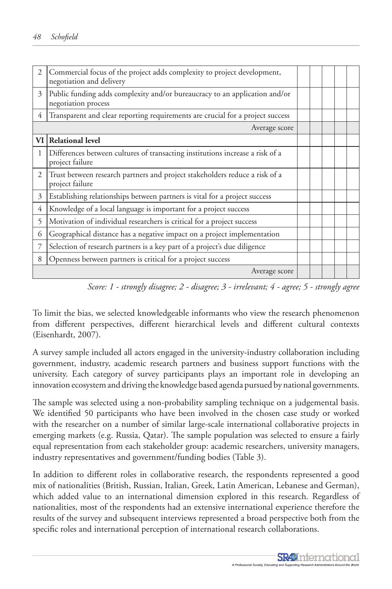| $\overline{2}$ | Commercial focus of the project adds complexity to project development,<br>negotiation and delivery |  |  |  |  |
|----------------|-----------------------------------------------------------------------------------------------------|--|--|--|--|
| 3              | Public funding adds complexity and/or bureaucracy to an application and/or<br>negotiation process   |  |  |  |  |
| 4              | Transparent and clear reporting requirements are crucial for a project success                      |  |  |  |  |
|                | Average score                                                                                       |  |  |  |  |
|                | VI Relational level                                                                                 |  |  |  |  |
| 1              | Differences between cultures of transacting institutions increase a risk of a<br>project failure    |  |  |  |  |
| 2              | Trust between research partners and project stakeholders reduce a risk of a<br>project failure      |  |  |  |  |
| 3              | Establishing relationships between partners is vital for a project success                          |  |  |  |  |
| 4              | Knowledge of a local language is important for a project success                                    |  |  |  |  |
| 5              | Motivation of individual researchers is critical for a project success                              |  |  |  |  |
| 6              | Geographical distance has a negative impact on a project implementation                             |  |  |  |  |
| 7              | Selection of research partners is a key part of a project's due diligence                           |  |  |  |  |
| 8              | Openness between partners is critical for a project success                                         |  |  |  |  |
|                | Average score                                                                                       |  |  |  |  |

*Score: 1 - strongly disagree; 2 - disagree; 3 - irrelevant; 4 - agree; 5 - strongly agree*

To limit the bias, we selected knowledgeable informants who view the research phenomenon from different perspectives, different hierarchical levels and different cultural contexts (Eisenhardt, 2007).

A survey sample included all actors engaged in the university-industry collaboration including government, industry, academic research partners and business support functions with the university. Each category of survey participants plays an important role in developing an innovation ecosystem and driving the knowledge based agenda pursued by national governments.

The sample was selected using a non-probability sampling technique on a judgemental basis. We identified 50 participants who have been involved in the chosen case study or worked with the researcher on a number of similar large-scale international collaborative projects in emerging markets (e.g. Russia, Qatar). The sample population was selected to ensure a fairly equal representation from each stakeholder group: academic researchers, university managers, industry representatives and government/funding bodies (Table 3).

In addition to different roles in collaborative research, the respondents represented a good mix of nationalities (British, Russian, Italian, Greek, Latin American, Lebanese and German), which added value to an international dimension explored in this research. Regardless of nationalities, most of the respondents had an extensive international experience therefore the results of the survey and subsequent interviews represented a broad perspective both from the specific roles and international perception of international research collaborations.

> **SR49** nternational A Professional Society, Educating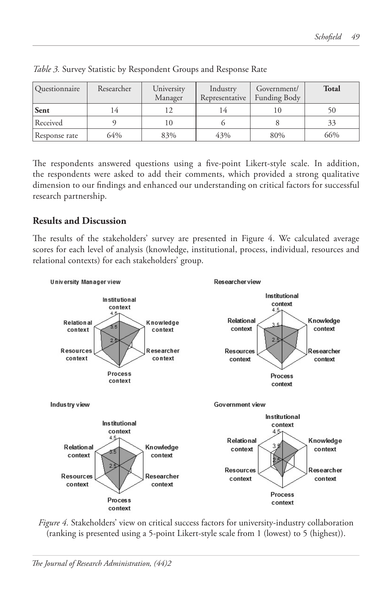| <i><u><b>Ouestionnaire</b></u></i> | Researcher | University<br>Manager | Industry<br>Representative | Government/<br><b>Funding Body</b> | <b>Total</b> |
|------------------------------------|------------|-----------------------|----------------------------|------------------------------------|--------------|
| Sent                               |            |                       |                            | I ()                               | 50           |
| Received                           |            | (()                   |                            |                                    | 33           |
| Response rate                      | 64%        | 83%                   | 43%                        | 80%                                | 66%          |

*Table 3.* Survey Statistic by Respondent Groups and Response Rate

The respondents answered questions using a five-point Likert-style scale. In addition, the respondents were asked to add their comments, which provided a strong qualitative dimension to our findings and enhanced our understanding on critical factors for successful research partnership.

# **Results and Discussion**

The results of the stakeholders' survey are presented in Figure 4. We calculated average scores for each level of analysis (knowledge, institutional, process, individual, resources and relational contexts) for each stakeholders' group.



*Figure 4.* Stakeholders' view on critical success factors for university-industry collaboration (ranking is presented using a 5-point Likert-style scale from 1 (lowest) to 5 (highest)).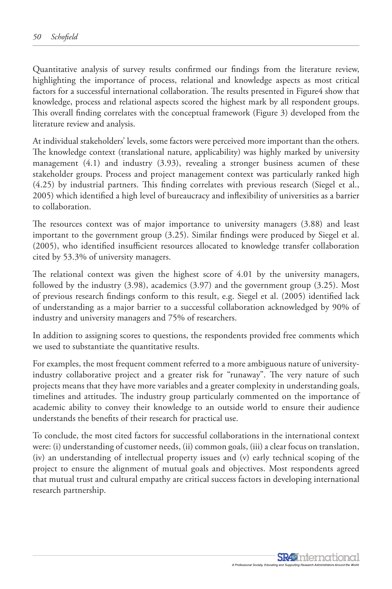Quantitative analysis of survey results confirmed our findings from the literature review, highlighting the importance of process, relational and knowledge aspects as most critical factors for a successful international collaboration. The results presented in Figure4 show that knowledge, process and relational aspects scored the highest mark by all respondent groups. This overall finding correlates with the conceptual framework (Figure 3) developed from the literature review and analysis.

At individual stakeholders' levels, some factors were perceived more important than the others. The knowledge context (translational nature, applicability) was highly marked by university management  $(4.1)$  and industry  $(3.93)$ , revealing a stronger business acumen of these stakeholder groups. Process and project management context was particularly ranked high (4.25) by industrial partners. This finding correlates with previous research (Siegel et al., 2005) which identified a high level of bureaucracy and inflexibility of universities as a barrier to collaboration.

The resources context was of major importance to university managers (3.88) and least important to the government group (3.25). Similar findings were produced by Siegel et al. (2005), who identified insufficient resources allocated to knowledge transfer collaboration cited by 53.3% of university managers.

The relational context was given the highest score of 4.01 by the university managers, followed by the industry (3.98), academics (3.97) and the government group (3.25). Most of previous research findings conform to this result, e.g. Siegel et al. (2005) identified lack of understanding as a major barrier to a successful collaboration acknowledged by 90% of industry and university managers and 75% of researchers.

In addition to assigning scores to questions, the respondents provided free comments which we used to substantiate the quantitative results.

For examples, the most frequent comment referred to a more ambiguous nature of universityindustry collaborative project and a greater risk for "runaway". The very nature of such projects means that they have more variables and a greater complexity in understanding goals, timelines and attitudes. The industry group particularly commented on the importance of academic ability to convey their knowledge to an outside world to ensure their audience understands the benefits of their research for practical use.

To conclude, the most cited factors for successful collaborations in the international context were: (i) understanding of customer needs, (ii) common goals, (iii) a clear focus on translation, (iv) an understanding of intellectual property issues and (v) early technical scoping of the project to ensure the alignment of mutual goals and objectives. Most respondents agreed that mutual trust and cultural empathy are critical success factors in developing international research partnership.

> **SR49** nternational A Professional Society, Educating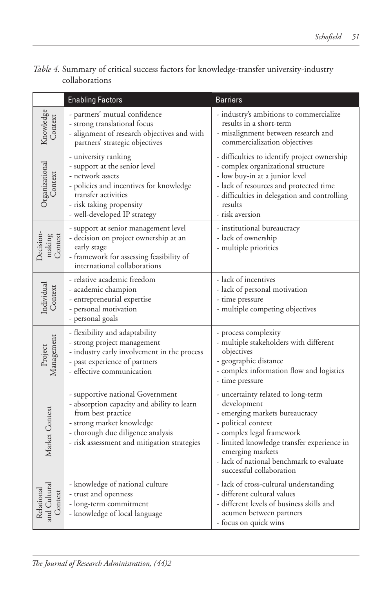| Table 4. Summary of critical success factors for knowledge-transfer university-industry |  |  |  |  |
|-----------------------------------------------------------------------------------------|--|--|--|--|
| collaborations                                                                          |  |  |  |  |

|                                       | <b>Enabling Factors</b>                                                                                                                                                                                               | <b>Barriers</b>                                                                                                                                                                                                                                                                   |
|---------------------------------------|-----------------------------------------------------------------------------------------------------------------------------------------------------------------------------------------------------------------------|-----------------------------------------------------------------------------------------------------------------------------------------------------------------------------------------------------------------------------------------------------------------------------------|
| Knowledge<br>Context                  | - partners' mutual confidence<br>- strong translational focus<br>- alignment of research objectives and with<br>partners' strategic objectives                                                                        | - industry's ambitions to commercialize<br>results in a short-term<br>- misalignment between research and<br>commercialization objectives                                                                                                                                         |
| Organizational                        | - university ranking<br>- support at the senior level<br>- network assets<br>- policies and incentives for knowledge<br>transfer activities<br>- risk taking propensity<br>- well-developed IP strategy               | - difficulties to identify project ownership<br>- complex organizational structure<br>- low buy-in at a junior level<br>- lack of resources and protected time<br>- difficulties in delegation and controlling<br>results<br>- risk aversion                                      |
| Decision-<br>making<br>Context        | - support at senior management level<br>- decision on project ownership at an<br>early stage<br>- framework for assessing feasibility of<br>international collaborations                                              | - institutional bureaucracy<br>- lack of ownership<br>- multiple priorities                                                                                                                                                                                                       |
| Individual<br>Context                 | - relative academic freedom<br>- academic champion<br>- entrepreneurial expertise<br>- personal motivation<br>- personal goals                                                                                        | - lack of incentives<br>- lack of personal motivation<br>- time pressure<br>- multiple competing objectives                                                                                                                                                                       |
| Management<br>Project                 | - flexibility and adaptability<br>- strong project management<br>- industry early involvement in the process<br>- past experience of partners<br>- effective communication                                            | - process complexity<br>- multiple stakeholders with different<br>objectives<br>- geographic distance<br>- complex information flow and logistics<br>- time pressure                                                                                                              |
| Market Context                        | - supportive national Government<br>- absorption capacity and ability to learn<br>from best practice<br>- strong market knowledge<br>- thorough due diligence analysis<br>- risk assessment and mitigation strategies | - uncertainty related to long-term<br>development<br>- emerging markets bureaucracy<br>- political context<br>- complex legal framework<br>- limited knowledge transfer experience in<br>emerging markets<br>- lack of national benchmark to evaluate<br>successful collaboration |
| Relational<br>and Cultural<br>Context | - knowledge of national culture<br>- trust and openness<br>- long-term commitment<br>- knowledge of local language                                                                                                    | - lack of cross-cultural understanding<br>- different cultural values<br>- different levels of business skills and<br>acumen between partners<br>- focus on quick wins                                                                                                            |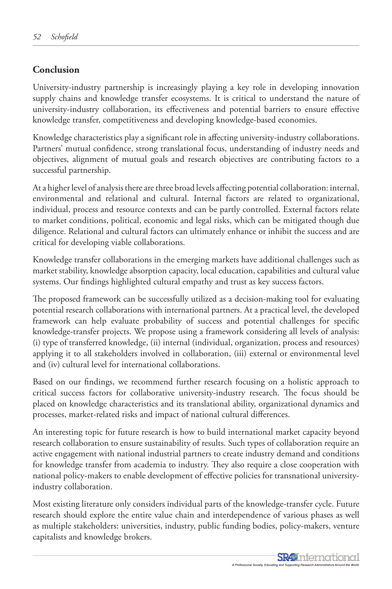# **Conclusion**

University-industry partnership is increasingly playing a key role in developing innovation supply chains and knowledge transfer ecosystems. It is critical to understand the nature of university-industry collaboration, its effectiveness and potential barriers to ensure effective knowledge transfer, competitiveness and developing knowledge-based economies.

Knowledge characteristics play a significant role in affecting university-industry collaborations. Partners' mutual confidence, strong translational focus, understanding of industry needs and objectives, alignment of mutual goals and research objectives are contributing factors to a successful partnership.

At a higher level of analysis there are three broad levels affecting potential collaboration: internal, environmental and relational and cultural. Internal factors are related to organizational, individual, process and resource contexts and can be partly controlled. External factors relate to market conditions, political, economic and legal risks, which can be mitigated though due diligence. Relational and cultural factors can ultimately enhance or inhibit the success and are critical for developing viable collaborations.

Knowledge transfer collaborations in the emerging markets have additional challenges such as market stability, knowledge absorption capacity, local education, capabilities and cultural value systems. Our findings highlighted cultural empathy and trust as key success factors.

The proposed framework can be successfully utilized as a decision-making tool for evaluating potential research collaborations with international partners. At a practical level, the developed framework can help evaluate probability of success and potential challenges for specific knowledge-transfer projects. We propose using a framework considering all levels of analysis: (i) type of transferred knowledge, (ii) internal (individual, organization, process and resources) applying it to all stakeholders involved in collaboration, (iii) external or environmental level and (iv) cultural level for international collaborations.

Based on our findings, we recommend further research focusing on a holistic approach to critical success factors for collaborative university-industry research. The focus should be placed on knowledge characteristics and its translational ability, organizational dynamics and processes, market-related risks and impact of national cultural differences.

An interesting topic for future research is how to build international market capacity beyond research collaboration to ensure sustainability of results. Such types of collaboration require an active engagement with national industrial partners to create industry demand and conditions for knowledge transfer from academia to industry. They also require a close cooperation with national policy-makers to enable development of effective policies for transnational universityindustry collaboration.

Most existing literature only considers individual parts of the knowledge-transfer cycle. Future research should explore the entire value chain and interdependence of various phases as well as multiple stakeholders: universities, industry, public funding bodies, policy-makers, venture capitalists and knowledge brokers.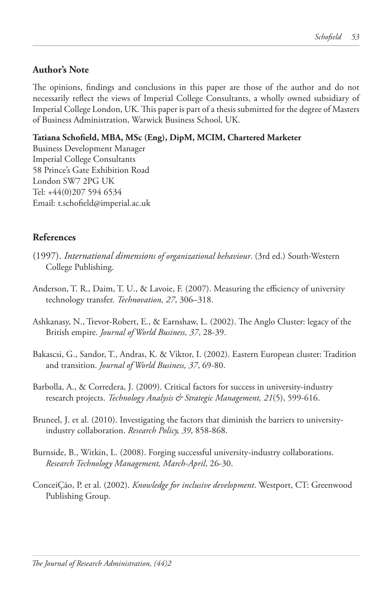#### **Author's Note**

The opinions, findings and conclusions in this paper are those of the author and do not necessarily reflect the views of Imperial College Consultants, a wholly owned subsidiary of Imperial College London, UK. This paper is part of a thesis submitted for the degree of Masters of Business Administration, Warwick Business School, UK.

#### **Tatiana Schofield, MBA, MSc (Eng), DipM, MCIM, Chartered Marketer**

Business Development Manager Imperial College Consultants 58 Prince's Gate Exhibition Road London SW7 2PG UK Tel: +44(0)207 594 6534 Email: t.schofield@imperial.ac.uk

### **References**

- (1997). *International dimensions of organizational behaviour*. (3rd ed.) South-Western College Publishing.
- Anderson, T. R., Daim, T. U., & Lavoie, F. (2007). Measuring the efficiency of university technology transfer. *Technovation, 27*, 306–318.
- Ashkanasy, N., Trevor-Robert, E., & Earnshaw, L. (2002). The Anglo Cluster: legacy of the British empire. *Journal of World Business, 37*, 28-39.
- Bakascsi, G., Sandor, T., Andras, K. & Viktor, I. (2002). Eastern European cluster: Tradition and transition. *Journal of World Business, 37*, 69-80.
- Barbolla, A., & Corredera, J. (2009). Critical factors for success in university-industry research projects. *Technology Analysis & Strategic Management, 21*(5), 599-616.
- Bruneel, J. et al. (2010). Investigating the factors that diminish the barriers to universityindustry collaboration. *Research Policy, 39*, 858-868.
- Burnside, B., Witkin, L. (2008). Forging successful university-industry collaborations. *Research Technology Management, March-April*, 26-30.
- ConceiÇão, P. et al. (2002). *Knowledge for inclusive development*. Westport, CT: Greenwood Publishing Group.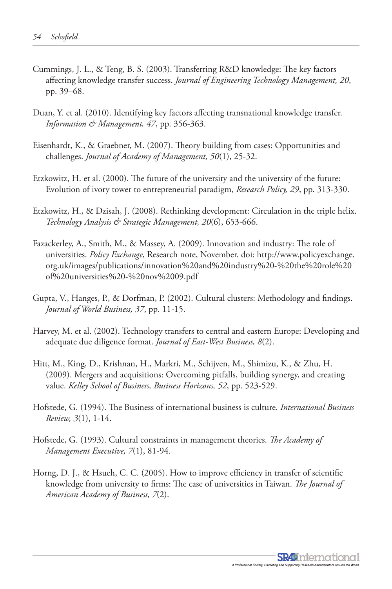- Cummings, J. L., & Teng, B. S. (2003). Transferring R&D knowledge: The key factors affecting knowledge transfer success. *Journal of Engineering Technology Management, 20*, pp. 39–68.
- Duan, Y. et al. (2010). Identifying key factors affecting transnational knowledge transfer. *Information & Management, 47*, pp. 356-363.
- Eisenhardt, K., & Graebner, M. (2007). Theory building from cases: Opportunities and challenges. *Journal of Academy of Management, 50*(1), 25-32.
- Etzkowitz, H. et al. (2000). The future of the university and the university of the future: Evolution of ivory tower to entrepreneurial paradigm, *Research Policy, 29*, pp. 313-330.
- Etzkowitz, H., & Dzisah, J. (2008). Rethinking development: Circulation in the triple helix. *Technology Analysis & Strategic Management, 20*(6), 653-666.
- Fazackerley, A., Smith, M., & Massey, A. (2009). Innovation and industry: The role of universities. *Policy Exchange*, Research note, November. doi: http://www.policyexchange. org.uk/images/publications/innovation%20and%20industry%20-%20the%20role%20 of%20universities%20-%20nov%2009.pdf
- Gupta, V., Hanges, P., & Dorfman, P. (2002). Cultural clusters: Methodology and findings. *Journal of World Business, 37*, pp. 11-15.
- Harvey, M. et al. (2002). Technology transfers to central and eastern Europe: Developing and adequate due diligence format. *Journal of East-West Business, 8*(2).
- Hitt, M., King, D., Krishnan, H., Markri, M., Schijven, M., Shimizu, K., & Zhu, H. (2009). Mergers and acquisitions: Overcoming pitfalls, building synergy, and creating value. *Kelley School of Business, Business Horizons, 52*, pp. 523-529.
- Hofstede, G. (1994). The Business of international business is culture. *International Business Review, 3*(1), 1-14.
- Hofstede, G. (1993). Cultural constraints in management theories. *The Academy of Management Executive, 7*(1), 81-94.
- Horng, D. J., & Hsueh, C. C. (2005). How to improve efficiency in transfer of scientific knowledge from university to firms: The case of universities in Taiwan. *The Journal of American Academy of Business, 7*(2).

**SR49** International A Professional Society, Educatin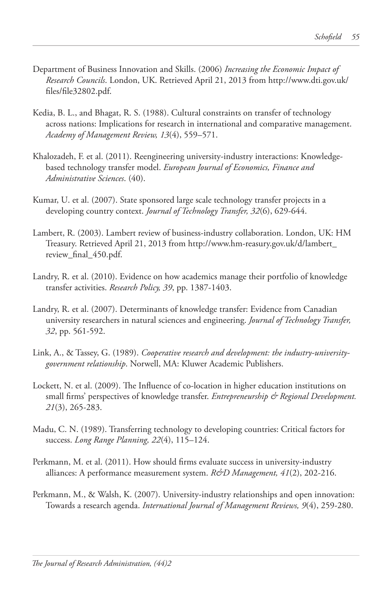- Department of Business Innovation and Skills. (2006) *Increasing the Economic Impact of Research Councils*. London, UK. Retrieved April 21, 2013 from http://www.dti.gov.uk/ files/file32802.pdf.
- Kedia, B. L., and Bhagat, R. S. (1988). Cultural constraints on transfer of technology across nations: Implications for research in international and comparative management. *Academy of Management Review, 13*(4), 559–571.
- Khalozadeh, F. et al. (2011). Reengineering university-industry interactions: Knowledgebased technology transfer model. *European Journal of Economics, Finance and Administrative Sciences*. (40).
- Kumar, U. et al. (2007). State sponsored large scale technology transfer projects in a developing country context. *Journal of Technology Transfer, 32*(6), 629-644.
- Lambert, R. (2003). Lambert review of business-industry collaboration. London, UK: HM Treasury. Retrieved April 21, 2013 from http://www.hm-reasury.gov.uk/d/lambert\_ review\_final\_450.pdf.
- Landry, R. et al. (2010). Evidence on how academics manage their portfolio of knowledge transfer activities. *Research Policy, 39*, pp. 1387-1403.
- Landry, R. et al. (2007). Determinants of knowledge transfer: Evidence from Canadian university researchers in natural sciences and engineering. *Journal of Technology Transfer, 32*, pp. 561-592.
- Link, A., & Tassey, G. (1989). *Cooperative research and development: the industry-universitygovernment relationship*. Norwell, MA: Kluwer Academic Publishers.
- Lockett, N. et al. (2009). The Influence of co-location in higher education institutions on small firms' perspectives of knowledge transfer. *Entrepreneurship & Regional Development*. *21*(3), 265-283.
- Madu, C. N. (1989). Transferring technology to developing countries: Critical factors for success. *Long Range Planning, 22*(4), 115–124.
- Perkmann, M. et al. (2011). How should firms evaluate success in university-industry alliances: A performance measurement system. *R&D Management, 41*(2), 202-216.
- Perkmann, M., & Walsh, K. (2007). University-industry relationships and open innovation: Towards a research agenda. *International Journal of Management Reviews, 9*(4), 259-280.